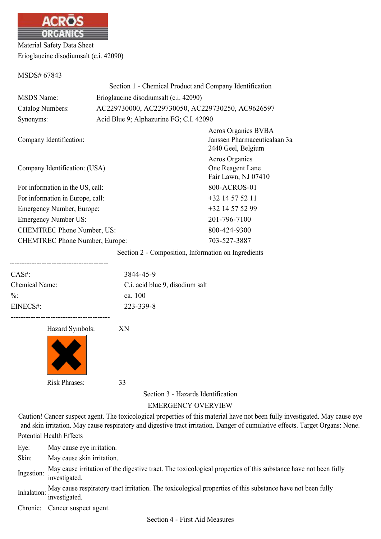

Material Safety Data Sheet Erioglaucine disodiumsalt (c.i. 42090)

MSDS# 67843

|                                       | Section 1 - Chemical Product and Company Identification |                                                                                  |  |
|---------------------------------------|---------------------------------------------------------|----------------------------------------------------------------------------------|--|
| <b>MSDS</b> Name:                     | Erioglaucine disodiumsalt (c.i. 42090)                  |                                                                                  |  |
| Catalog Numbers:                      | AC229730000, AC229730050, AC229730250, AC9626597        |                                                                                  |  |
| Synonyms:                             | Acid Blue 9; Alphazurine FG; C.I. 42090                 |                                                                                  |  |
| Company Identification:               |                                                         | <b>Acros Organics BVBA</b><br>Janssen Pharmaceuticalaan 3a<br>2440 Geel, Belgium |  |
| Company Identification: (USA)         |                                                         | Acros Organics<br>One Reagent Lane<br>Fair Lawn, NJ 07410                        |  |
| For information in the US, call:      |                                                         | 800-ACROS-01                                                                     |  |
| For information in Europe, call:      |                                                         | $+32$ 14 57 52 11                                                                |  |
| Emergency Number, Europe:             |                                                         | $+32$ 14 57 52 99                                                                |  |
| <b>Emergency Number US:</b>           |                                                         | 201-796-7100                                                                     |  |
| <b>CHEMTREC Phone Number, US:</b>     |                                                         | 800-424-9300                                                                     |  |
| <b>CHEMTREC Phone Number, Europe:</b> |                                                         | 703-527-3887                                                                     |  |
|                                       |                                                         |                                                                                  |  |

Section 2 - Composition, Information on Ingredients

| $CAS#$ :        | 3844-45-9                       |
|-----------------|---------------------------------|
| Chemical Name:  | C.i. acid blue 9, disodium salt |
| $\frac{0}{0}$ . | ca. 100                         |
| EINECS#:        | 223-339-8                       |
|                 |                                 |

Hazard Symbols: XN



Section 3 - Hazards Identification

## EMERGENCY OVERVIEW

Caution! Cancer suspect agent. The toxicological properties of this material have not been fully investigated. May cause eye and skin irritation. May cause respiratory and digestive tract irritation. Danger of cumulative effects. Target Organs: None. Potential Health Effects

Eye: May cause eye irritation.

Skin: May cause skin irritation.

Ingestion: May cause irritation of the digestive tract. The toxicological properties of this substance have not been fully investigated.

Inhalation: May cause respiratory tract irritation. The toxicological properties of this substance have not been fully investigated.

Chronic: Cancer suspect agent.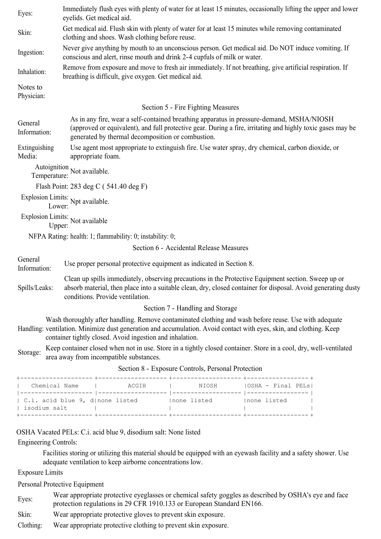| Eyes:                   | Immediately flush eyes with plenty of water for at least 15 minutes, occasionally lifting the upper and lower<br>eyelids. Get medical aid.                                                                                                                   |  |  |  |
|-------------------------|--------------------------------------------------------------------------------------------------------------------------------------------------------------------------------------------------------------------------------------------------------------|--|--|--|
| Skin:                   | Get medical aid. Flush skin with plenty of water for at least 15 minutes while removing contaminated<br>clothing and shoes. Wash clothing before reuse.                                                                                                      |  |  |  |
| Ingestion:              | Never give anything by mouth to an unconscious person. Get medical aid. Do NOT induce vomiting. If<br>conscious and alert, rinse mouth and drink 2-4 cupfuls of milk or water.                                                                               |  |  |  |
| Inhalation:             | Remove from exposure and move to fresh air immediately. If not breathing, give artificial respiration. If<br>breathing is difficult, give oxygen. Get medical aid.                                                                                           |  |  |  |
| Notes to<br>Physician:  |                                                                                                                                                                                                                                                              |  |  |  |
|                         | Section 5 - Fire Fighting Measures                                                                                                                                                                                                                           |  |  |  |
| General<br>Information: | As in any fire, wear a self-contained breathing apparatus in pressure-demand, MSHA/NIOSH<br>(approved or equivalent), and full protective gear. During a fire, irritating and highly toxic gases may be<br>generated by thermal decomposition or combustion. |  |  |  |
| Extinguishing<br>Media: | Use agent most appropriate to extinguish fire. Use water spray, dry chemical, carbon dioxide, or<br>appropriate foam.                                                                                                                                        |  |  |  |
| Temperature:            | Autoignition Not available.                                                                                                                                                                                                                                  |  |  |  |
|                         | Flash Point: 283 deg C (541.40 deg F)                                                                                                                                                                                                                        |  |  |  |
|                         | Explosion Limits: Npt available.<br>Lower: Npt available.                                                                                                                                                                                                    |  |  |  |
| Upper:                  | Explosion Limits: Not available                                                                                                                                                                                                                              |  |  |  |
|                         | NFPA Rating: health: 1; flammability: 0; instability: 0;                                                                                                                                                                                                     |  |  |  |
|                         | Section 6 - Accidental Release Measures                                                                                                                                                                                                                      |  |  |  |
| General<br>Information: | Use proper personal protective equipment as indicated in Section 8.                                                                                                                                                                                          |  |  |  |
| Spills/Leaks:           | Clean up spills immediately, observing precautions in the Protective Equipment section. Sweep up or<br>absorb material, then place into a suitable clean, dry, closed container for disposal. Avoid generating dusty<br>conditions. Provide ventilation.     |  |  |  |
|                         | Section 7 - Handling and Storage                                                                                                                                                                                                                             |  |  |  |
|                         | Wash thoroughly after handling. Remove contaminated clothing and wash before reuse. Use with adequate<br>Handling: ventilation. Minimize dust generation and accumulation. Avoid contact with eyes, skin, and clothing. Keep                                 |  |  |  |

- container tightly closed. Avoid ingestion and inhalation.
- Storage: Keep container closed when not in use. Store in a tightly closed container. Store in a cool, dry, well-ventilated area away from incompatible substances.

| C.i. acid blue 9, d  none listed<br>Inone listed<br>Inone listed | Chemical Name | ACGIH | NIOSH | OSHA - Final PELs <br>------------ |
|------------------------------------------------------------------|---------------|-------|-------|------------------------------------|
|                                                                  | isodium salt  |       |       |                                    |

Section 8 - Exposure Controls, Personal Protection

OSHA Vacated PELs: C.i. acid blue 9, disodium salt: None listed

Engineering Controls:

Facilities storing or utilizing this material should be equipped with an eyewash facility and a safety shower. Use adequate ventilation to keep airborne concentrations low.

Exposure Limits

Personal Protective Equipment

- Eyes:<br>
Wear appropriate protective eyeglasses or chemical safety goggles as described by OSHA's eye and face<br>
materials are underlying in 20 CEP 1010.122 as European Standard EN166 protection regulations in 29 CFR 1910.133 or European Standard EN166.
- Skin: Wear appropriate protective gloves to prevent skin exposure.
- Clothing: Wear appropriate protective clothing to prevent skin exposure.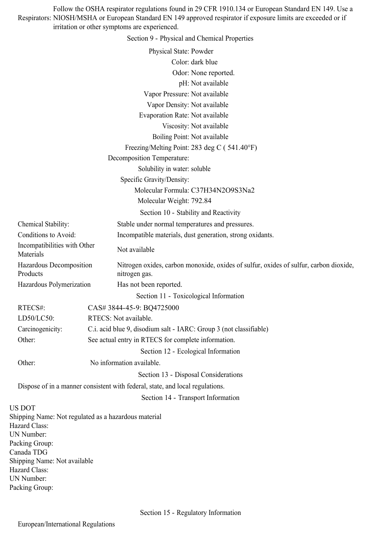Respirators: NIOSH/MSHA or European Standard EN 149 approved respirator if exposure limits are exceeded or if Follow the OSHA respirator regulations found in 29 CFR 1910.134 or European Standard EN 149. Use a irritation or other symptoms are experienced.

Section 9 - Physical and Chemical Properties

|                              |                                                                                        | Physical State: Powder                                                                                 |
|------------------------------|----------------------------------------------------------------------------------------|--------------------------------------------------------------------------------------------------------|
|                              |                                                                                        | Color: dark blue                                                                                       |
|                              |                                                                                        | Odor: None reported.                                                                                   |
|                              |                                                                                        | pH: Not available                                                                                      |
|                              |                                                                                        | Vapor Pressure: Not available                                                                          |
|                              |                                                                                        | Vapor Density: Not available                                                                           |
|                              |                                                                                        | <b>Evaporation Rate: Not available</b>                                                                 |
|                              |                                                                                        | Viscosity: Not available                                                                               |
|                              |                                                                                        | Boiling Point: Not available                                                                           |
|                              |                                                                                        | Freezing/Melting Point: 283 deg C (541.40°F)                                                           |
|                              |                                                                                        | Decomposition Temperature:                                                                             |
|                              |                                                                                        | Solubility in water: soluble                                                                           |
|                              |                                                                                        | Specific Gravity/Density:                                                                              |
|                              |                                                                                        | Molecular Formula: C37H34N2O9S3Na2                                                                     |
|                              |                                                                                        | Molecular Weight: 792.84                                                                               |
|                              |                                                                                        | Section 10 - Stability and Reactivity                                                                  |
| Chemical Stability:          |                                                                                        | Stable under normal temperatures and pressures.                                                        |
| Conditions to Avoid:         |                                                                                        | Incompatible materials, dust generation, strong oxidants.                                              |
| Materials                    | Incompatibilities with Other                                                           | Not available                                                                                          |
| Products                     | Hazardous Decomposition                                                                | Nitrogen oxides, carbon monoxide, oxides of sulfur, oxides of sulfur, carbon dioxide,<br>nitrogen gas. |
|                              | Hazardous Polymerization                                                               | Has not been reported.                                                                                 |
|                              |                                                                                        | Section 11 - Toxicological Information                                                                 |
| RTECS#:                      |                                                                                        | CAS# 3844-45-9: BQ4725000                                                                              |
| LD50/LC50:                   |                                                                                        | RTECS: Not available.                                                                                  |
|                              | C.i. acid blue 9, disodium salt - IARC: Group 3 (not classifiable)<br>Carcinogenicity: |                                                                                                        |
| Other:                       |                                                                                        | See actual entry in RTECS for complete information.                                                    |
|                              |                                                                                        | Section 12 - Ecological Information                                                                    |
| Other:                       |                                                                                        | No information available.                                                                              |
|                              |                                                                                        |                                                                                                        |
|                              |                                                                                        | Section 13 - Disposal Considerations                                                                   |
|                              |                                                                                        | Dispose of in a manner consistent with federal, state, and local regulations.                          |
|                              |                                                                                        | Section 14 - Transport Information                                                                     |
| <b>US DOT</b>                |                                                                                        | Shipping Name: Not regulated as a hazardous material                                                   |
| Hazard Class:                |                                                                                        |                                                                                                        |
| UN Number:                   |                                                                                        |                                                                                                        |
| Packing Group:               |                                                                                        |                                                                                                        |
| Canada TDG                   |                                                                                        |                                                                                                        |
| Shipping Name: Not available |                                                                                        |                                                                                                        |
| Hazard Class:<br>UN Number:  |                                                                                        |                                                                                                        |
| Packing Group:               |                                                                                        |                                                                                                        |
|                              |                                                                                        |                                                                                                        |